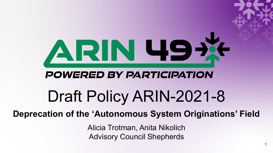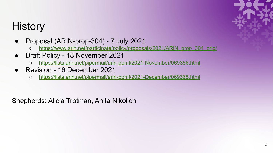## **History**

- Proposal (ARIN-prop-304) 7 July 2021
	- [https://www.arin.net/participate/policy/proposals/2021/ARIN\\_prop\\_304\\_orig/](https://www.arin.net/participate/policy/proposals/2021/ARIN_prop_304_orig/)
- Draft Policy 18 November 2021
	- <https://lists.arin.net/pipermail/arin-ppml/2021-November/069356.html>
- Revision 16 December 2021
	- <https://lists.arin.net/pipermail/arin-ppml/2021-December/069365.html>

Shepherds: Alicia Trotman, Anita Nikolich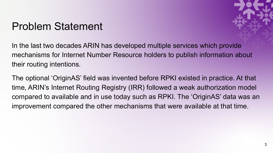#### Problem Statement



In the last two decades ARIN has developed multiple services which provide mechanisms for Internet Number Resource holders to publish information about their routing intentions.

The optional 'OriginAS' field was invented before RPKI existed in practice. At that time, ARIN's Internet Routing Registry (IRR) followed a weak authorization model compared to available and in use today such as RPKI. The 'OriginAS' data was an improvement compared the other mechanisms that were available at that time.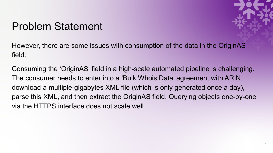#### Problem Statement



However, there are some issues with consumption of the data in the OriginAS field:

Consuming the 'OriginAS' field in a high-scale automated pipeline is challenging. The consumer needs to enter into a 'Bulk Whois Data' agreement with ARIN, download a multiple-gigabytes XML file (which is only generated once a day), parse this XML, and then extract the OriginAS field. Querying objects one-by-one via the HTTPS interface does not scale well.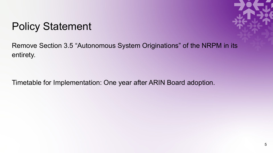### Policy Statement



Remove Section 3.5 "Autonomous System Originations" of the NRPM in its entirety.

Timetable for Implementation: One year after ARIN Board adoption.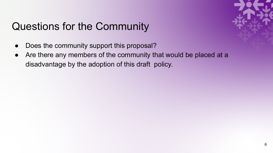# Questions for the Community

- Does the community support this proposal?
- Are there any members of the community that would be placed at a disadvantage by the adoption of this draft policy.